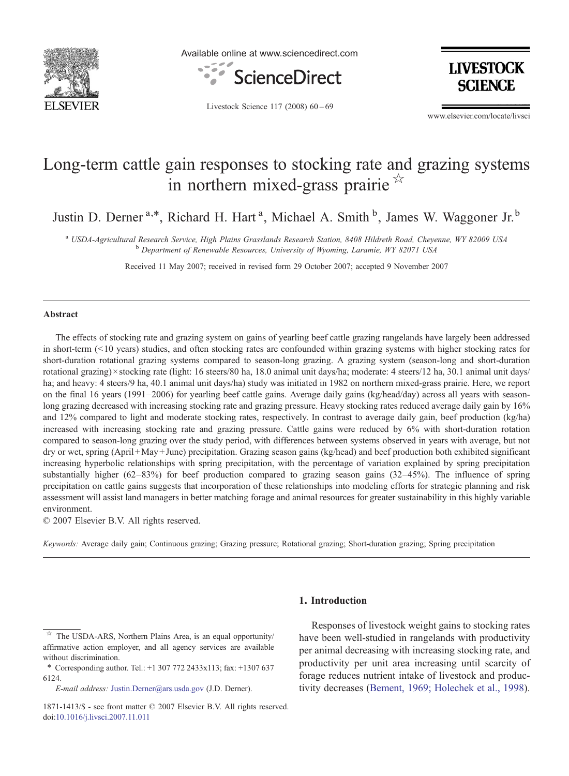

Available online at www.sciencedirect.com





Livestock Science 117 (2008) 60–69

www.elsevier.com/locate/livsci

# Long-term cattle gain responses to stocking rate and grazing systems in northern mixed-grass prairie  $\mathbb{X}$

Justin D. Derner<sup>a,\*</sup>, Richard H. Hart<sup>a</sup>, Michael A. Smith<sup>b</sup>, James W. Waggoner Jr.<sup>b</sup>

<sup>a</sup> USDA-Agricultural Research Service, High Plains Grasslands Research Station, 8408 Hildreth Road, Cheyenne, WY 82009 USA b Department of Renewable Resources, University of Wyoming, Laramie, WY 82071 USA

Received 11 May 2007; received in revised form 29 October 2007; accepted 9 November 2007

## Abstract

The effects of stocking rate and grazing system on gains of yearling beef cattle grazing rangelands have largely been addressed in short-term  $(\leq 10$  years) studies, and often stocking rates are confounded within grazing systems with higher stocking rates for short-duration rotational grazing systems compared to season-long grazing. A grazing system (season-long and short-duration rotational grazing) × stocking rate (light: 16 steers/80 ha, 18.0 animal unit days/ha; moderate: 4 steers/12 ha, 30.1 animal unit days/ ha; and heavy: 4 steers/9 ha, 40.1 animal unit days/ha) study was initiated in 1982 on northern mixed-grass prairie. Here, we report on the final 16 years (1991–2006) for yearling beef cattle gains. Average daily gains (kg/head/day) across all years with seasonlong grazing decreased with increasing stocking rate and grazing pressure. Heavy stocking rates reduced average daily gain by 16% and 12% compared to light and moderate stocking rates, respectively. In contrast to average daily gain, beef production (kg/ha) increased with increasing stocking rate and grazing pressure. Cattle gains were reduced by 6% with short-duration rotation compared to season-long grazing over the study period, with differences between systems observed in years with average, but not dry or wet, spring (April + May + June) precipitation. Grazing season gains (kg/head) and beef production both exhibited significant increasing hyperbolic relationships with spring precipitation, with the percentage of variation explained by spring precipitation substantially higher (62–83%) for beef production compared to grazing season gains (32–45%). The influence of spring precipitation on cattle gains suggests that incorporation of these relationships into modeling efforts for strategic planning and risk assessment will assist land managers in better matching forage and animal resources for greater sustainability in this highly variable environment.

© 2007 Elsevier B.V. All rights reserved.

Keywords: Average daily gain; Continuous grazing; Grazing pressure; Rotational grazing; Short-duration grazing; Spring precipitation

# 1. Introduction

Responses of livestock weight gains to stocking rates have been well-studied in rangelands with productivity per animal decreasing with increasing stocking rate, and productivity per unit area increasing until scarcity of forage reduces nutrient intake of livestock and productivity decreases ([Bement, 1969; Holechek et al., 1998\)](#page-9-0).

The USDA-ARS, Northern Plains Area, is an equal opportunity/ affirmative action employer, and all agency services are available without discrimination.

<sup>⁎</sup> Corresponding author. Tel.: +1 307 772 2433x113; fax: +1307 637 6124.

E-mail address: [Justin.Derner@ars.usda.gov](mailto:Justin.Derner@ars.usda.gov) (J.D. Derner).

<sup>1871-1413/\$ -</sup> see front matter © 2007 Elsevier B.V. All rights reserved. doi[:10.1016/j.livsci.2007.11.011](http://dx.doi.org/10.1016/j.livsci.2007.11.011)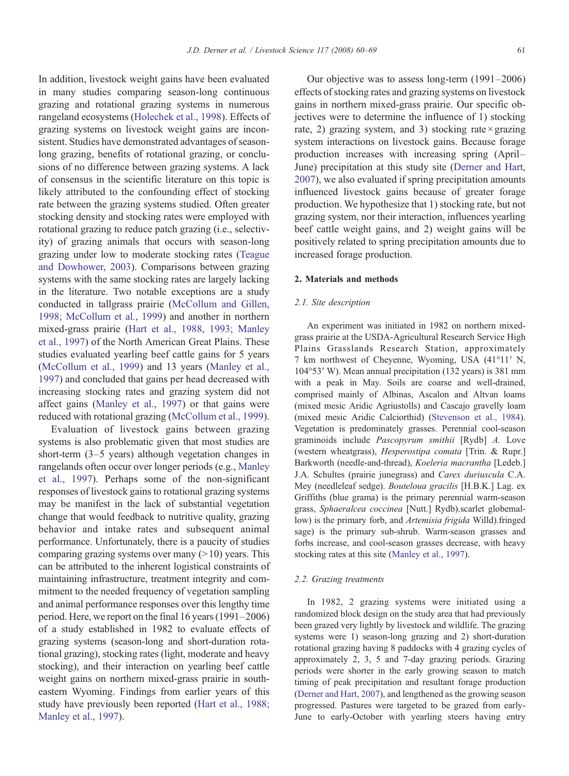In addition, livestock weight gains have been evaluated in many studies comparing season-long continuous grazing and rotational grazing systems in numerous rangeland ecosystems [\(Holechek et al., 1998](#page-9-0)). Effects of grazing systems on livestock weight gains are inconsistent. Studies have demonstrated advantages of seasonlong grazing, benefits of rotational grazing, or conclusions of no difference between grazing systems. A lack of consensus in the scientific literature on this topic is likely attributed to the confounding effect of stocking rate between the grazing systems studied. Often greater stocking density and stocking rates were employed with rotational grazing to reduce patch grazing (i.e., selectivity) of grazing animals that occurs with season-long grazing under low to moderate stocking rates ([Teague](#page-9-0) [and Dowhower, 2003](#page-9-0)). Comparisons between grazing systems with the same stocking rates are largely lacking in the literature. Two notable exceptions are a study conducted in tallgrass prairie ([McCollum and Gillen,](#page-9-0) [1998; McCollum et al., 1999\)](#page-9-0) and another in northern mixed-grass prairie [\(Hart et al., 1988, 1993; Manley](#page-9-0) [et al., 1997](#page-9-0)) of the North American Great Plains. These studies evaluated yearling beef cattle gains for 5 years [\(McCollum et al., 1999\)](#page-9-0) and 13 years ([Manley et al.,](#page-9-0) [1997\)](#page-9-0) and concluded that gains per head decreased with increasing stocking rates and grazing system did not affect gains ([Manley et al., 1997](#page-9-0)) or that gains were reduced with rotational grazing [\(McCollum et al., 1999](#page-9-0)).

Evaluation of livestock gains between grazing systems is also problematic given that most studies are short-term (3–5 years) although vegetation changes in rangelands often occur over longer periods (e.g., [Manley](#page-9-0) [et al., 1997](#page-9-0)). Perhaps some of the non-significant responses of livestock gains to rotational grazing systems may be manifest in the lack of substantial vegetation change that would feedback to nutritive quality, grazing behavior and intake rates and subsequent animal performance. Unfortunately, there is a paucity of studies comparing grazing systems over many  $(>10)$  years. This can be attributed to the inherent logistical constraints of maintaining infrastructure, treatment integrity and commitment to the needed frequency of vegetation sampling and animal performance responses over this lengthy time period. Here, we report on the final 16 years (1991–2006) of a study established in 1982 to evaluate effects of grazing systems (season-long and short-duration rotational grazing), stocking rates (light, moderate and heavy stocking), and their interaction on yearling beef cattle weight gains on northern mixed-grass prairie in southeastern Wyoming. Findings from earlier years of this study have previously been reported [\(Hart et al., 1988;](#page-9-0) [Manley et al., 1997](#page-9-0)).

Our objective was to assess long-term (1991–2006) effects of stocking rates and grazing systems on livestock gains in northern mixed-grass prairie. Our specific objectives were to determine the influence of 1) stocking rate, 2) grazing system, and 3) stocking rate  $\times$  grazing system interactions on livestock gains. Because forage production increases with increasing spring (April– June) precipitation at this study site [\(Derner and Hart,](#page-9-0) [2007\)](#page-9-0), we also evaluated if spring precipitation amounts influenced livestock gains because of greater forage production. We hypothesize that 1) stocking rate, but not grazing system, nor their interaction, influences yearling beef cattle weight gains, and 2) weight gains will be positively related to spring precipitation amounts due to increased forage production.

## 2. Materials and methods

## 2.1. Site description

An experiment was initiated in 1982 on northern mixedgrass prairie at the USDA-Agricultural Research Service High Plains Grasslands Research Station, approximately 7 km northwest of Cheyenne, Wyoming, USA (41°11′ N, 104°53′ W). Mean annual precipitation (132 years) is 381 mm with a peak in May. Soils are coarse and well-drained, comprised mainly of Albinas, Ascalon and Altvan loams (mixed mesic Aridic Agriustolls) and Cascajo gravelly loam (mixed mesic Aridic Calciorthid) [\(Stevenson et al., 1984\)](#page-9-0). Vegetation is predominately grasses. Perennial cool-season graminoids include Pascopyrum smithii [Rydb] A. Love (western wheatgrass), Hesperostipa comata [Trin. & Rupr.] Barkworth (needle-and-thread), Koeleria macrantha [Ledeb.] J.A. Schultes (prairie junegrass) and Carex duriuscula C.A. Mey (needleleaf sedge). Bouteloua gracilis [H.B.K.] Lag. ex Griffiths (blue grama) is the primary perennial warm-season grass, Sphaeralcea coccinea [Nutt.] Rydb).scarlet globemallow) is the primary forb, and Artemisia frigida Willd).fringed sage) is the primary sub-shrub. Warm-season grasses and forbs increase, and cool-season grasses decrease, with heavy stocking rates at this site [\(Manley et al., 1997\)](#page-9-0).

## 2.2. Grazing treatments

In 1982, 2 grazing systems were initiated using a randomized block design on the study area that had previously been grazed very lightly by livestock and wildlife. The grazing systems were 1) season-long grazing and 2) short-duration rotational grazing having 8 paddocks with 4 grazing cycles of approximately 2, 3, 5 and 7-day grazing periods. Grazing periods were shorter in the early growing season to match timing of peak precipitation and resultant forage production ([Derner and Hart, 2007\)](#page-9-0), and lengthened as the growing season progressed. Pastures were targeted to be grazed from early-June to early-October with yearling steers having entry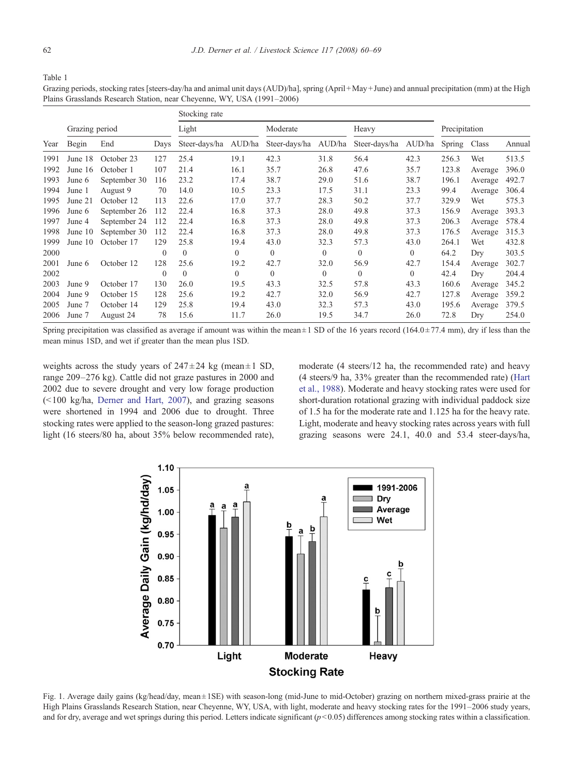<span id="page-2-0"></span>Table 1

Grazing periods, stocking rates [steers-day/ha and animal unit days (AUD)/ha], spring (April +May + June) and annual precipitation (mm) at the High Plains Grasslands Research Station, near Cheyenne, WY, USA (1991–2006)

|      |                |              |              | Stocking rate |          |               |              |               |          |               |         |        |
|------|----------------|--------------|--------------|---------------|----------|---------------|--------------|---------------|----------|---------------|---------|--------|
|      | Grazing period |              |              | Light         |          | Moderate      |              | Heavy         |          | Precipitation |         |        |
| Year | Begin          | End          | Days         | Steer-days/ha | AUD/ha   | Steer-days/ha | AUD/ha       | Steer-days/ha | AUD/ha   | Spring        | Class   | Annual |
| 1991 | June 18        | October 23   | 127          | 25.4          | 19.1     | 42.3          | 31.8         | 56.4          | 42.3     | 256.3         | Wet     | 513.5  |
| 1992 | June $16$      | October 1    | 107          | 21.4          | 16.1     | 35.7          | 26.8         | 47.6          | 35.7     | 123.8         | Average | 396.0  |
| 1993 | June 6         | September 30 | 116          | 23.2          | 17.4     | 38.7          | 29.0         | 51.6          | 38.7     | 196.1         | Average | 492.7  |
| 1994 | June 1         | August 9     | 70           | 14.0          | 10.5     | 23.3          | 17.5         | 31.1          | 23.3     | 99.4          | Average | 306.4  |
| 1995 | June 21        | October 12   | 113          | 22.6          | 17.0     | 37.7          | 28.3         | 50.2          | 37.7     | 329.9         | Wet     | 575.3  |
| 1996 | June 6         | September 26 | 112          | 22.4          | 16.8     | 37.3          | 28.0         | 49.8          | 37.3     | 156.9         | Average | 393.3  |
| 1997 | June 4         | September 24 | 112          | 22.4          | 16.8     | 37.3          | 28.0         | 49.8          | 37.3     | 206.3         | Average | 578.4  |
| 1998 | June 10        | September 30 | 112          | 22.4          | 16.8     | 37.3          | 28.0         | 49.8          | 37.3     | 176.5         | Average | 315.3  |
| 1999 | June 10        | October 17   | 129          | 25.8          | 19.4     | 43.0          | 32.3         | 57.3          | 43.0     | 264.1         | Wet     | 432.8  |
| 2000 |                |              | $\mathbf{0}$ | $\theta$      | $\Omega$ | $\Omega$      | $\mathbf{0}$ | $\Omega$      | $\Omega$ | 64.2          | Dry     | 303.5  |
| 2001 | June $6$       | October 12   | 128          | 25.6          | 19.2     | 42.7          | 32.0         | 56.9          | 42.7     | 154.4         | Average | 302.7  |
| 2002 |                |              | $\mathbf{0}$ | $\theta$      | $\Omega$ | $\mathbf{0}$  | $\Omega$     | $\mathbf{0}$  | $\Omega$ | 42.4          | Dry     | 204.4  |
| 2003 | June 9         | October 17   | 130          | 26.0          | 19.5     | 43.3          | 32.5         | 57.8          | 43.3     | 160.6         | Average | 345.2  |
| 2004 | June 9         | October 15   | 128          | 25.6          | 19.2     | 42.7          | 32.0         | 56.9          | 42.7     | 127.8         | Average | 359.2  |
| 2005 | June 7         | October 14   | 129          | 25.8          | 19.4     | 43.0          | 32.3         | 57.3          | 43.0     | 195.6         | Average | 379.5  |
| 2006 | June 7         | August 24    | 78           | 15.6          | 11.7     | 26.0          | 19.5         | 34.7          | 26.0     | 72.8          | Dry     | 254.0  |

Spring precipitation was classified as average if amount was within the mean  $\pm 1$  SD of the 16 years record (164.0  $\pm$  77.4 mm), dry if less than the mean minus 1SD, and wet if greater than the mean plus 1SD.

weights across the study years of  $247 \pm 24$  kg (mean  $\pm 1$  SD, range 209–276 kg). Cattle did not graze pastures in 2000 and 2002 due to severe drought and very low forage production  $(\leq 100 \text{ kg/ha})$ , [Derner and Hart, 2007\)](#page-9-0), and grazing seasons were shortened in 1994 and 2006 due to drought. Three stocking rates were applied to the season-long grazed pastures: light (16 steers/80 ha, about 35% below recommended rate), moderate (4 steers/12 ha, the recommended rate) and heavy (4 steers/9 ha, 33% greater than the recommended rate) ([Hart](#page-9-0) [et al., 1988\)](#page-9-0). Moderate and heavy stocking rates were used for short-duration rotational grazing with individual paddock size of 1.5 ha for the moderate rate and 1.125 ha for the heavy rate. Light, moderate and heavy stocking rates across years with full grazing seasons were 24.1, 40.0 and 53.4 steer-days/ha,



Fig. 1. Average daily gains (kg/head/day, mean ± 1SE) with season-long (mid-June to mid-October) grazing on northern mixed-grass prairie at the High Plains Grasslands Research Station, near Cheyenne, WY, USA, with light, moderate and heavy stocking rates for the 1991–2006 study years, and for dry, average and wet springs during this period. Letters indicate significant  $(p<0.05)$  differences among stocking rates within a classification.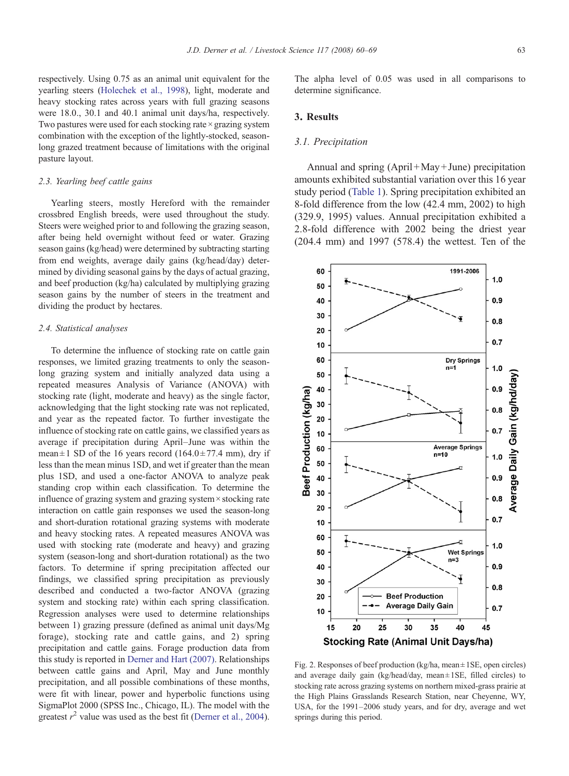<span id="page-3-0"></span>respectively. Using 0.75 as an animal unit equivalent for the yearling steers [\(Holechek et al., 1998](#page-9-0)), light, moderate and heavy stocking rates across years with full grazing seasons were 18.0., 30.1 and 40.1 animal unit days/ha, respectively. Two pastures were used for each stocking rate  $\times$  grazing system combination with the exception of the lightly-stocked, seasonlong grazed treatment because of limitations with the original pasture layout.

## 2.3. Yearling beef cattle gains

Yearling steers, mostly Hereford with the remainder crossbred English breeds, were used throughout the study. Steers were weighed prior to and following the grazing season, after being held overnight without feed or water. Grazing season gains (kg/head) were determined by subtracting starting from end weights, average daily gains (kg/head/day) determined by dividing seasonal gains by the days of actual grazing, and beef production (kg/ha) calculated by multiplying grazing season gains by the number of steers in the treatment and dividing the product by hectares.

## 2.4. Statistical analyses

To determine the influence of stocking rate on cattle gain responses, we limited grazing treatments to only the seasonlong grazing system and initially analyzed data using a repeated measures Analysis of Variance (ANOVA) with stocking rate (light, moderate and heavy) as the single factor, acknowledging that the light stocking rate was not replicated, and year as the repeated factor. To further investigate the influence of stocking rate on cattle gains, we classified years as average if precipitation during April–June was within the mean  $\pm 1$  SD of the 16 years record (164.0 $\pm$ 77.4 mm), dry if less than the mean minus 1SD, and wet if greater than the mean plus 1SD, and used a one-factor ANOVA to analyze peak standing crop within each classification. To determine the influence of grazing system and grazing system × stocking rate interaction on cattle gain responses we used the season-long and short-duration rotational grazing systems with moderate and heavy stocking rates. A repeated measures ANOVA was used with stocking rate (moderate and heavy) and grazing system (season-long and short-duration rotational) as the two factors. To determine if spring precipitation affected our findings, we classified spring precipitation as previously described and conducted a two-factor ANOVA (grazing system and stocking rate) within each spring classification. Regression analyses were used to determine relationships between 1) grazing pressure (defined as animal unit days/Mg forage), stocking rate and cattle gains, and 2) spring precipitation and cattle gains. Forage production data from this study is reported in [Derner and Hart \(2007\)](#page-9-0). Relationships between cattle gains and April, May and June monthly precipitation, and all possible combinations of these months, were fit with linear, power and hyperbolic functions using SigmaPlot 2000 (SPSS Inc., Chicago, IL). The model with the greatest  $r^2$  value was used as the best fit ([Derner et al., 2004\)](#page-9-0).

The alpha level of 0.05 was used in all comparisons to determine significance.

# 3. Results

#### 3.1. Precipitation

Annual and spring  $(April + Mav + June)$  precipitation amounts exhibited substantial variation over this 16 year study period ([Table 1\)](#page-2-0). Spring precipitation exhibited an 8-fold difference from the low (42.4 mm, 2002) to high (329.9, 1995) values. Annual precipitation exhibited a 2.8-fold difference with 2002 being the driest year (204.4 mm) and 1997 (578.4) the wettest. Ten of the



Fig. 2. Responses of beef production (kg/ha, mean  $\pm$  1SE, open circles) and average daily gain (kg/head/day, mean $\pm$ 1SE, filled circles) to stocking rate across grazing systems on northern mixed-grass prairie at the High Plains Grasslands Research Station, near Cheyenne, WY, USA, for the 1991–2006 study years, and for dry, average and wet springs during this period.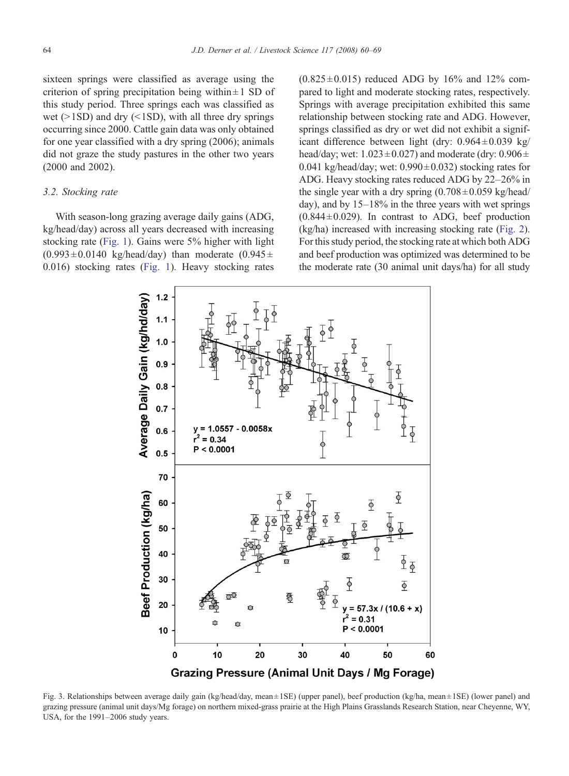<span id="page-4-0"></span>sixteen springs were classified as average using the criterion of spring precipitation being within  $\pm 1$  SD of this study period. Three springs each was classified as wet ( $>$ 1SD) and dry ( $<$ 1SD), with all three dry springs occurring since 2000. Cattle gain data was only obtained for one year classified with a dry spring (2006); animals did not graze the study pastures in the other two years (2000 and 2002).

# 3.2. Stocking rate

With season-long grazing average daily gains (ADG, kg/head/day) across all years decreased with increasing stocking rate ([Fig. 1](#page-2-0)). Gains were 5% higher with light  $(0.993 \pm 0.0140 \text{ kg/head/day})$  than moderate  $(0.945 \pm 0.0140 \text{ kg/head/day})$ 0.016) stocking rates [\(Fig. 1](#page-2-0)). Heavy stocking rates

 $(0.825 \pm 0.015)$  reduced ADG by 16% and 12% compared to light and moderate stocking rates, respectively. Springs with average precipitation exhibited this same relationship between stocking rate and ADG. However, springs classified as dry or wet did not exhibit a significant difference between light (dry:  $0.964 \pm 0.039$  kg/ head/day; wet:  $1.023 \pm 0.027$ ) and moderate (dry:  $0.906 \pm$ 0.041 kg/head/day; wet:  $0.990 \pm 0.032$ ) stocking rates for ADG. Heavy stocking rates reduced ADG by 22–26% in the single year with a dry spring  $(0.708 \pm 0.059 \text{ kg/head/})$ day), and by  $15-18\%$  in the three years with wet springs  $(0.844 \pm 0.029)$ . In contrast to ADG, beef production (kg/ha) increased with increasing stocking rate [\(Fig. 2\)](#page-3-0). For this study period, the stocking rate at which both ADG and beef production was optimized was determined to be the moderate rate (30 animal unit days/ha) for all study



Fig. 3. Relationships between average daily gain (kg/head/day, mean ± 1SE) (upper panel), beef production (kg/ha, mean ± 1SE) (lower panel) and grazing pressure (animal unit days/Mg forage) on northern mixed-grass prairie at the High Plains Grasslands Research Station, near Cheyenne, WY, USA, for the 1991–2006 study years.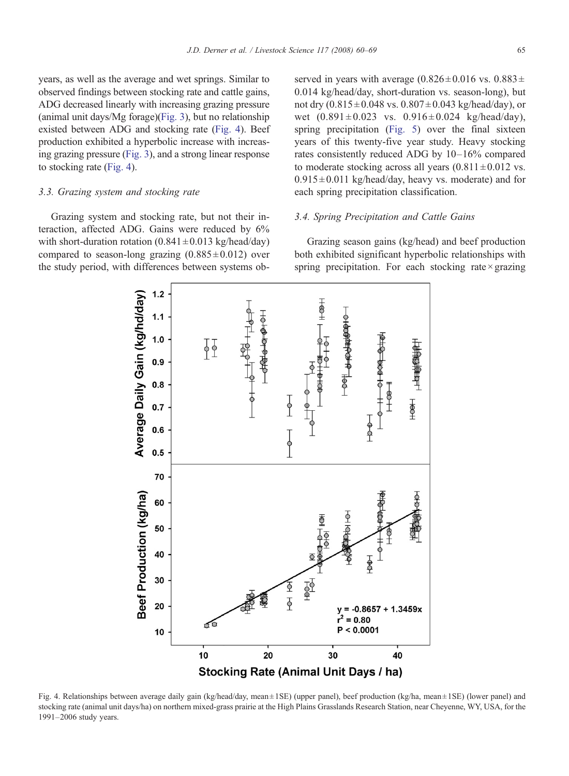years, as well as the average and wet springs. Similar to observed findings between stocking rate and cattle gains, ADG decreased linearly with increasing grazing pressure (animal unit days/Mg forage)[\(Fig. 3\)](#page-4-0), but no relationship existed between ADG and stocking rate (Fig. 4). Beef production exhibited a hyperbolic increase with increasing grazing pressure [\(Fig. 3\)](#page-4-0), and a strong linear response to stocking rate (Fig. 4).

# 3.3. Grazing system and stocking rate

Grazing system and stocking rate, but not their interaction, affected ADG. Gains were reduced by 6% with short-duration rotation  $(0.841 \pm 0.013 \text{ kg/head/day})$ compared to season-long grazing  $(0.885 \pm 0.012)$  over the study period, with differences between systems observed in years with average  $(0.826 \pm 0.016 \text{ vs. } 0.883 \pm 0.016 \text{ vs. } 0.0005)$ 0.014 kg/head/day, short-duration vs. season-long), but not dry  $(0.815 \pm 0.048 \text{ vs. } 0.807 \pm 0.043 \text{ kg/head/day})$ , or wet  $(0.891 \pm 0.023$  vs.  $0.916 \pm 0.024$  kg/head/day), spring precipitation [\(Fig. 5](#page-6-0)) over the final sixteen years of this twenty-five year study. Heavy stocking rates consistently reduced ADG by 10–16% compared to moderate stocking across all years  $(0.811 \pm 0.012 \text{ vs.})$  $0.915 \pm 0.011$  kg/head/day, heavy vs. moderate) and for each spring precipitation classification.

## 3.4. Spring Precipitation and Cattle Gains

Grazing season gains (kg/head) and beef production both exhibited significant hyperbolic relationships with spring precipitation. For each stocking rate  $\times$  grazing



Fig. 4. Relationships between average daily gain (kg/head/day, mean ± 1SE) (upper panel), beef production (kg/ha, mean ± 1SE) (lower panel) and stocking rate (animal unit days/ha) on northern mixed-grass prairie at the High Plains Grasslands Research Station, near Cheyenne, WY, USA, for the 1991–2006 study years.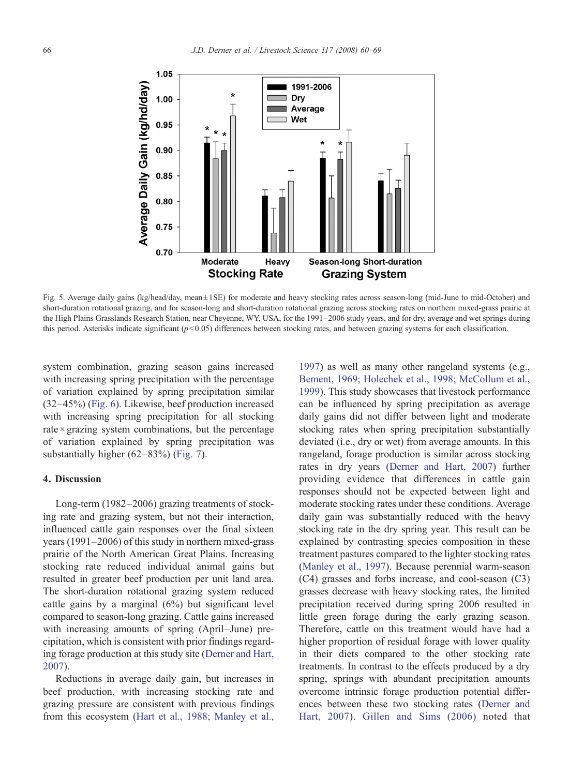<span id="page-6-0"></span>

Fig. 5. Average daily gains (kg/head/day, mean ± 1SE) for moderate and heavy stocking rates across season-long (mid-June to mid-October) and short-duration rotational grazing, and for season-long and short-duration rotational grazing across stocking rates on northern mixed-grass prairie at the High Plains Grasslands Research Station, near Cheyenne, WY, USA, for the 1991–2006 study years, and for dry, average and wet springs during this period. Asterisks indicate significant  $(p<0.05)$  differences between stocking rates, and between grazing systems for each classification.

system combination, grazing season gains increased with increasing spring precipitation with the percentage of variation explained by spring precipitation similar (32–45%) [\(Fig. 6\)](#page-7-0). Likewise, beef production increased with increasing spring precipitation for all stocking rate  $\times$  grazing system combinations, but the percentage of variation explained by spring precipitation was substantially higher (62–83%) [\(Fig. 7\)](#page-8-0).

# 4. Discussion

Long-term (1982–2006) grazing treatments of stocking rate and grazing system, but not their interaction, influenced cattle gain responses over the final sixteen years (1991–2006) of this study in northern mixed-grass prairie of the North American Great Plains. Increasing stocking rate reduced individual animal gains but resulted in greater beef production per unit land area. The short-duration rotational grazing system reduced cattle gains by a marginal (6%) but significant level compared to season-long grazing. Cattle gains increased with increasing amounts of spring (April–June) precipitation, which is consistent with prior findings regarding forage production at this study site [\(Derner and Hart,](#page-9-0) [2007](#page-9-0)).

Reductions in average daily gain, but increases in beef production, with increasing stocking rate and grazing pressure are consistent with previous findings from this ecosystem ([Hart et al., 1988; Manley et al.,](#page-9-0)

[1997](#page-9-0)) as well as many other rangeland systems (e.g., [Bement, 1969; Holechek et al., 1998; McCollum et al.,](#page-9-0) [1999](#page-9-0)). This study showcases that livestock performance can be influenced by spring precipitation as average daily gains did not differ between light and moderate stocking rates when spring precipitation substantially deviated (i.e., dry or wet) from average amounts. In this rangeland, forage production is similar across stocking rates in dry years ([Derner and Hart, 2007\)](#page-9-0) further providing evidence that differences in cattle gain responses should not be expected between light and moderate stocking rates under these conditions. Average daily gain was substantially reduced with the heavy stocking rate in the dry spring year. This result can be explained by contrasting species composition in these treatment pastures compared to the lighter stocking rates [\(Manley et al., 1997](#page-9-0)). Because perennial warm-season (C4) grasses and forbs increase, and cool-season (C3) grasses decrease with heavy stocking rates, the limited precipitation received during spring 2006 resulted in little green forage during the early grazing season. Therefore, cattle on this treatment would have had a higher proportion of residual forage with lower quality in their diets compared to the other stocking rate treatments. In contrast to the effects produced by a dry spring, springs with abundant precipitation amounts overcome intrinsic forage production potential differences between these two stocking rates ([Derner and](#page-9-0) [Hart, 2007\)](#page-9-0). [Gillen and Sims \(2006\)](#page-9-0) noted that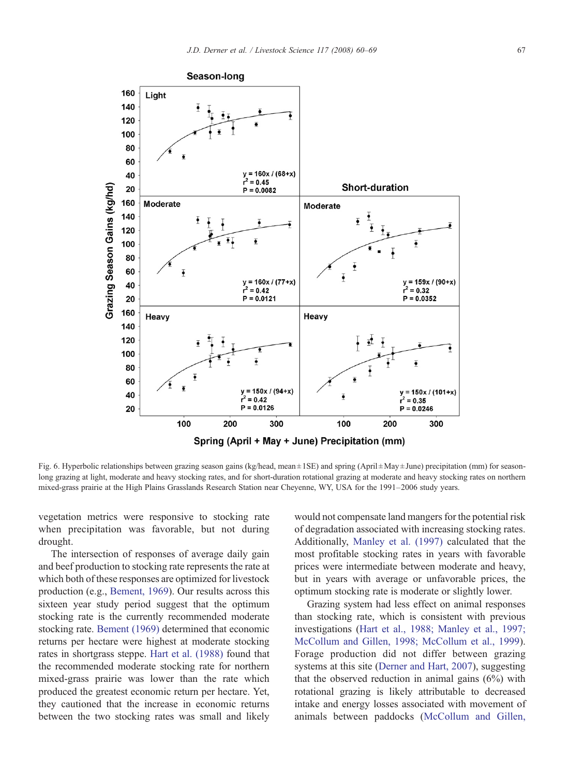<span id="page-7-0"></span>

Fig. 6. Hyperbolic relationships between grazing season gains (kg/head, mean ± 1SE) and spring (April ±May ± June) precipitation (mm) for seasonlong grazing at light, moderate and heavy stocking rates, and for short-duration rotational grazing at moderate and heavy stocking rates on northern mixed-grass prairie at the High Plains Grasslands Research Station near Cheyenne, WY, USA for the 1991–2006 study years.

vegetation metrics were responsive to stocking rate when precipitation was favorable, but not during drought.

The intersection of responses of average daily gain and beef production to stocking rate represents the rate at which both of these responses are optimized for livestock production (e.g., [Bement, 1969](#page-9-0)). Our results across this sixteen year study period suggest that the optimum stocking rate is the currently recommended moderate stocking rate. [Bement \(1969\)](#page-9-0) determined that economic returns per hectare were highest at moderate stocking rates in shortgrass steppe. [Hart et al. \(1988\)](#page-9-0) found that the recommended moderate stocking rate for northern mixed-grass prairie was lower than the rate which produced the greatest economic return per hectare. Yet, they cautioned that the increase in economic returns between the two stocking rates was small and likely

would not compensate land mangers for the potential risk of degradation associated with increasing stocking rates. Additionally, [Manley et al. \(1997\)](#page-9-0) calculated that the most profitable stocking rates in years with favorable prices were intermediate between moderate and heavy, but in years with average or unfavorable prices, the optimum stocking rate is moderate or slightly lower.

Grazing system had less effect on animal responses than stocking rate, which is consistent with previous investigations ([Hart et al., 1988; Manley et al., 1997;](#page-9-0) [McCollum and Gillen, 1998; McCollum et al., 1999](#page-9-0)). Forage production did not differ between grazing systems at this site [\(Derner and Hart, 2007](#page-9-0)), suggesting that the observed reduction in animal gains  $(6%)$  with rotational grazing is likely attributable to decreased intake and energy losses associated with movement of animals between paddocks ([McCollum and Gillen,](#page-9-0)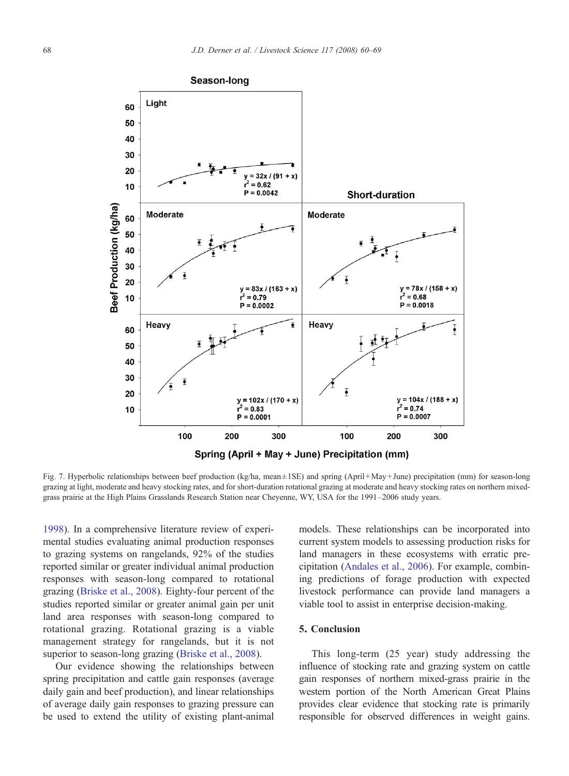<span id="page-8-0"></span>

Fig. 7. Hyperbolic relationships between beef production (kg/ha, mean ± 1SE) and spring (April + May + June) precipitation (mm) for season-long grazing at light, moderate and heavy stocking rates, and for short-duration rotational grazing at moderate and heavy stocking rates on northern mixedgrass prairie at the High Plains Grasslands Research Station near Cheyenne, WY, USA for the 1991–2006 study years.

[1998](#page-9-0)). In a comprehensive literature review of experimental studies evaluating animal production responses to grazing systems on rangelands, 92% of the studies reported similar or greater individual animal production responses with season-long compared to rotational grazing ([Briske et al., 2008](#page-9-0)). Eighty-four percent of the studies reported similar or greater animal gain per unit land area responses with season-long compared to rotational grazing. Rotational grazing is a viable management strategy for rangelands, but it is not superior to season-long grazing [\(Briske et al., 2008](#page-9-0)).

Our evidence showing the relationships between spring precipitation and cattle gain responses (average daily gain and beef production), and linear relationships of average daily gain responses to grazing pressure can be used to extend the utility of existing plant-animal

models. These relationships can be incorporated into current system models to assessing production risks for land managers in these ecosystems with erratic precipitation ([Andales et al., 2006](#page-9-0)). For example, combining predictions of forage production with expected livestock performance can provide land managers a viable tool to assist in enterprise decision-making.

# 5. Conclusion

This long-term (25 year) study addressing the influence of stocking rate and grazing system on cattle gain responses of northern mixed-grass prairie in the western portion of the North American Great Plains provides clear evidence that stocking rate is primarily responsible for observed differences in weight gains.